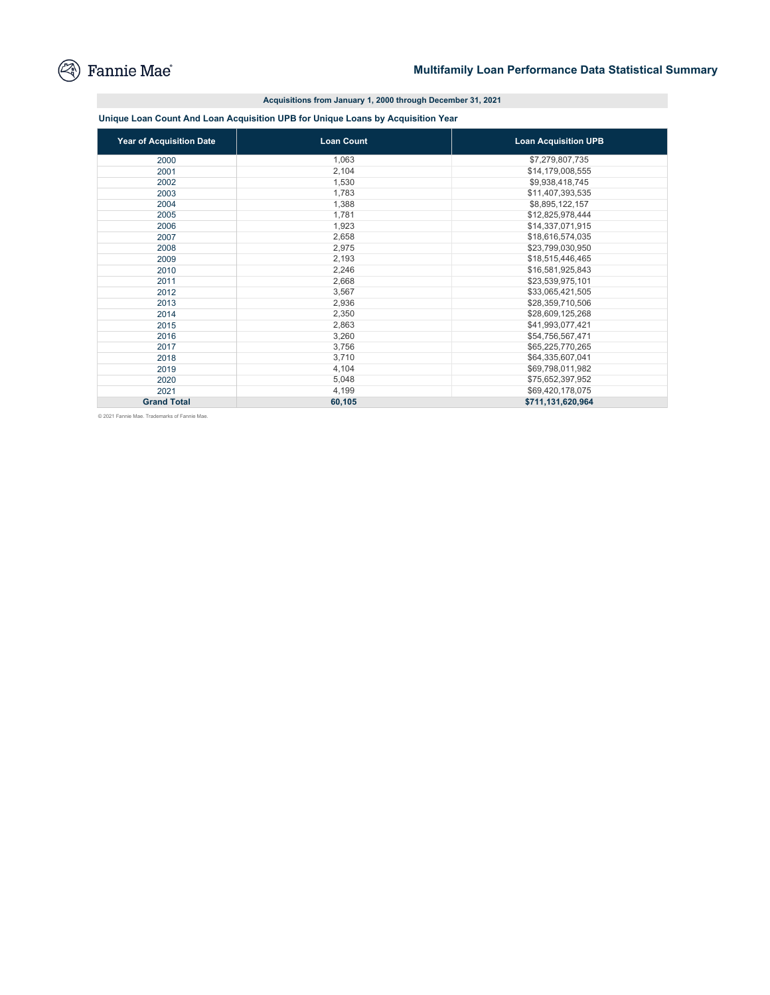

## **Multifamily Loan Performance Data Statistical Summary**

## Acquisitions from January 1, 2000 through December 31, 2021

Unique Loan Count And Loan Acquisition UPB for Unique Loans by Acquisition Year

| <b>Year of Acquisition Date</b> | <b>Loan Count</b> | <b>Loan Acquisition UPB</b> |
|---------------------------------|-------------------|-----------------------------|
| 2000                            | 1,063             | \$7,279,807,735             |
| 2001                            | 2,104             | \$14,179,008,555            |
| 2002                            | 1,530             | \$9,938,418,745             |
| 2003                            | 1,783             | \$11,407,393,535            |
| 2004                            | 1,388             | \$8,895,122,157             |
| 2005                            | 1,781             | \$12,825,978,444            |
| 2006                            | 1,923             | \$14,337,071,915            |
| 2007                            | 2,658             | \$18,616,574,035            |
| 2008                            | 2,975             | \$23,799,030,950            |
| 2009                            | 2,193             | \$18,515,446,465            |
| 2010                            | 2,246             | \$16,581,925,843            |
| 2011                            | 2,668             | \$23,539,975,101            |
| 2012                            | 3,567             | \$33,065,421,505            |
| 2013                            | 2,936             | \$28,359,710,506            |
| 2014                            | 2,350             | \$28,609,125,268            |
| 2015                            | 2,863             | \$41,993,077,421            |
| 2016                            | 3,260             | \$54,756,567,471            |
| 2017                            | 3,756             | \$65,225,770,265            |
| 2018                            | 3,710             | \$64,335,607,041            |
| 2019                            | 4,104             | \$69,798,011,982            |
| 2020                            | 5,048             | \$75,652,397,952            |
| 2021                            | 4,199             | \$69,420,178,075            |
| <b>Grand Total</b>              | 60,105            | \$711,131,620,964           |

©2021FannieMae.TrademarksofFannieMae.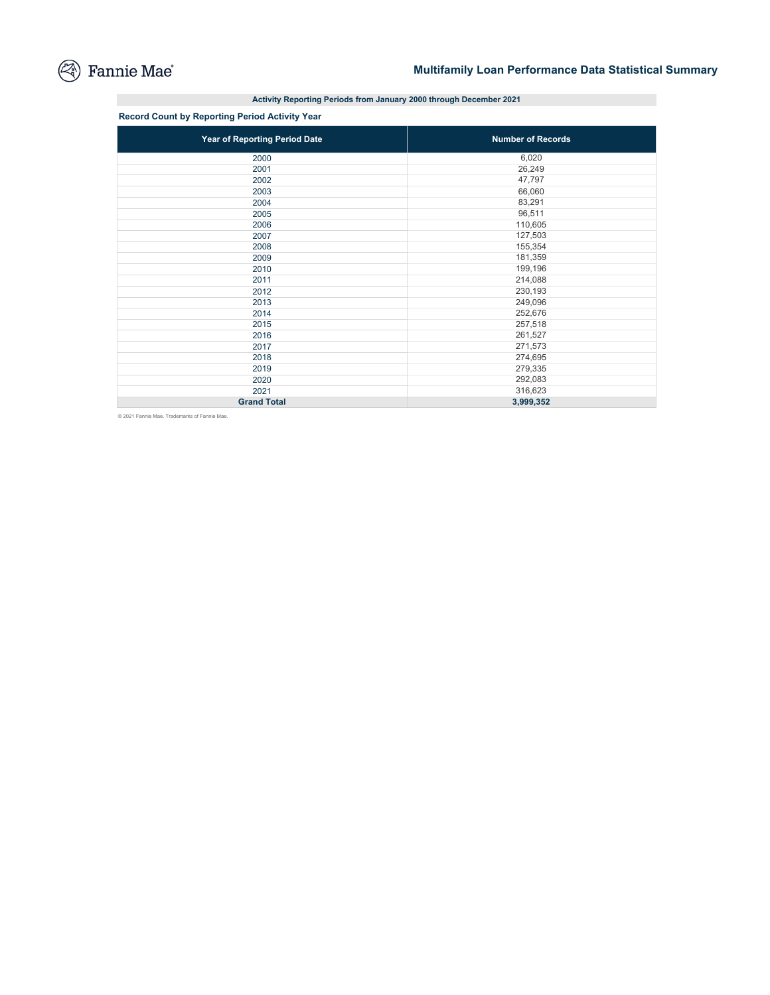

## **Multifamily Loan Performance Data Statistical Summary**

Activity Reporting Periods from January 2000 through December 2021

| Record Count by Reporting Period Activity Year |                          |  |
|------------------------------------------------|--------------------------|--|
| <b>Year of Reporting Period Date</b>           | <b>Number of Records</b> |  |
| 2000                                           | 6,020                    |  |
| 2001                                           | 26,249                   |  |
| 2002                                           | 47,797                   |  |
| 2003                                           | 66,060                   |  |
| 2004                                           | 83,291                   |  |
| 2005                                           | 96,511                   |  |
| 2006                                           | 110,605                  |  |
| 2007                                           | 127,503                  |  |
| 2008                                           | 155,354                  |  |
| 2009                                           | 181,359                  |  |
| 2010                                           | 199,196                  |  |
| 2011                                           | 214,088                  |  |
| 2012                                           | 230,193                  |  |
| 2013                                           | 249,096                  |  |
| 2014                                           | 252,676                  |  |
| 2015                                           | 257,518                  |  |
| 2016                                           | 261,527                  |  |
| 2017                                           | 271,573                  |  |
| 2018                                           | 274,695                  |  |
| 2019                                           | 279,335                  |  |
| 2020                                           | 292,083                  |  |
| 2021                                           | 316,623                  |  |
| <b>Grand Total</b>                             | 3,999,352                |  |

©2021FannieMae.TrademarksofFannieMae.